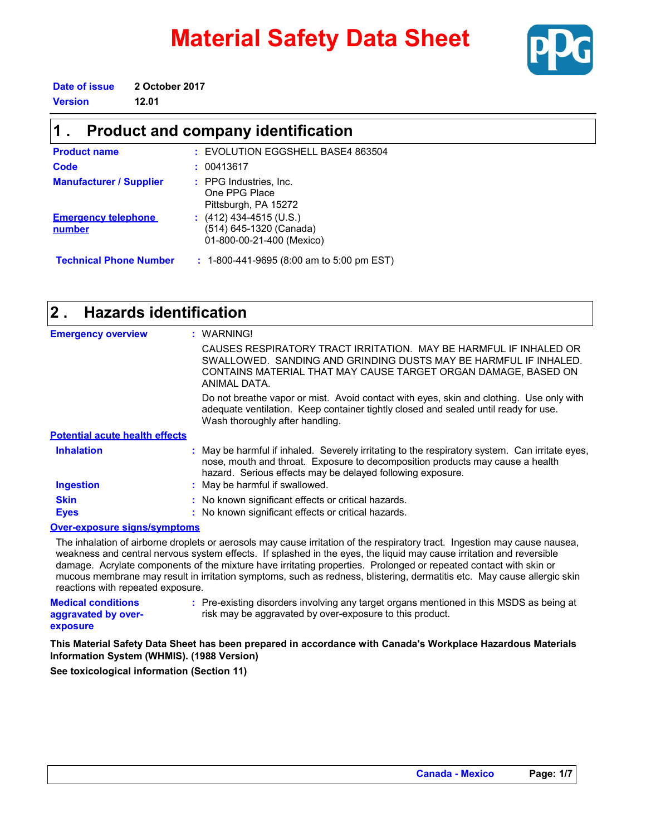# **Material Safety Data Sheet**



**Date of issue 2 October 2017**

**Version 12.01**

### **Product and company identification 1 .**

| <b>Product name</b>                  | : EVOLUTION EGGSHELL BASE4 863504                                                 |
|--------------------------------------|-----------------------------------------------------------------------------------|
| Code                                 | : 00413617                                                                        |
| <b>Manufacturer / Supplier</b>       | : PPG Industries, Inc.<br>One PPG Place<br>Pittsburgh, PA 15272                   |
| <b>Emergency telephone</b><br>number | : $(412)$ 434-4515 (U.S.)<br>(514) 645-1320 (Canada)<br>01-800-00-21-400 (Mexico) |
| <b>Technical Phone Number</b>        | $: 1-800-441-9695$ (8:00 am to 5:00 pm EST)                                       |

| <b>Hazards identification</b><br>$2$ . |                                                                                                                                                                                                                                               |
|----------------------------------------|-----------------------------------------------------------------------------------------------------------------------------------------------------------------------------------------------------------------------------------------------|
| <b>Emergency overview</b>              | : WARNING!                                                                                                                                                                                                                                    |
|                                        | CAUSES RESPIRATORY TRACT IRRITATION. MAY BE HARMFUL IF INHALED OR<br>SWALLOWED. SANDING AND GRINDING DUSTS MAY BE HARMEUL IF INHALED.<br>CONTAINS MATERIAL THAT MAY CAUSE TARGET ORGAN DAMAGE, BASED ON<br>ANIMAI DATA.                       |
|                                        | Do not breathe vapor or mist. Avoid contact with eyes, skin and clothing. Use only with<br>adequate ventilation. Keep container tightly closed and sealed until ready for use.<br>Wash thoroughly after handling.                             |
| <b>Potential acute health effects</b>  |                                                                                                                                                                                                                                               |
| <b>Inhalation</b>                      | : May be harmful if inhaled. Severely irritating to the respiratory system. Can irritate eyes,<br>nose, mouth and throat. Exposure to decomposition products may cause a health<br>hazard. Serious effects may be delayed following exposure. |
| <b>Ingestion</b>                       | : May be harmful if swallowed.                                                                                                                                                                                                                |
| <b>Skin</b>                            | : No known significant effects or critical hazards.                                                                                                                                                                                           |
| <b>Eyes</b>                            | : No known significant effects or critical hazards.                                                                                                                                                                                           |
| Over-exposure signs/symptoms           |                                                                                                                                                                                                                                               |

The inhalation of airborne droplets or aerosols may cause irritation of the respiratory tract. Ingestion may cause nausea, weakness and central nervous system effects. If splashed in the eyes, the liquid may cause irritation and reversible damage. Acrylate components of the mixture have irritating properties. Prolonged or repeated contact with skin or mucous membrane may result in irritation symptoms, such as redness, blistering, dermatitis etc. May cause allergic skin reactions with repeated exposure.

| <b>Medical conditions</b> | : Pre-existing disorders involving any target organs mentioned in this MSDS as being at |
|---------------------------|-----------------------------------------------------------------------------------------|
| aggravated by over-       | risk may be aggravated by over-exposure to this product.                                |
| exposure                  |                                                                                         |

**This Material Safety Data Sheet has been prepared in accordance with Canada's Workplace Hazardous Materials Information System (WHMIS). (1988 Version)**

**See toxicological information (Section 11)**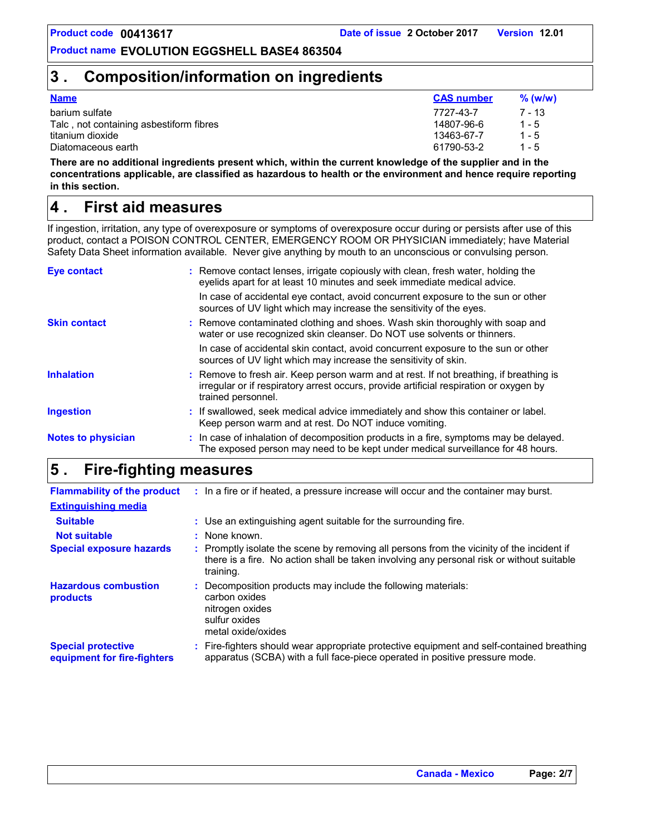### **3 . Composition/information on ingredients**

| <b>Name</b>                             | <b>CAS number</b> | $%$ (w/w) |
|-----------------------------------------|-------------------|-----------|
| barium sulfate                          | 7727-43-7         | $7 - 13$  |
| Talc, not containing asbestiform fibres | 14807-96-6        | $1 - 5$   |
| titanium dioxide                        | 13463-67-7        | $1 - 5$   |
| Diatomaceous earth                      | 61790-53-2        | $1 - 5$   |

**There are no additional ingredients present which, within the current knowledge of the supplier and in the concentrations applicable, are classified as hazardous to health or the environment and hence require reporting in this section.**

### **First aid measures 4 .**

If ingestion, irritation, any type of overexposure or symptoms of overexposure occur during or persists after use of this product, contact a POISON CONTROL CENTER, EMERGENCY ROOM OR PHYSICIAN immediately; have Material Safety Data Sheet information available. Never give anything by mouth to an unconscious or convulsing person.

| <b>Eye contact</b>        | : Remove contact lenses, irrigate copiously with clean, fresh water, holding the<br>eyelids apart for at least 10 minutes and seek immediate medical advice.                                           |
|---------------------------|--------------------------------------------------------------------------------------------------------------------------------------------------------------------------------------------------------|
|                           | In case of accidental eye contact, avoid concurrent exposure to the sun or other<br>sources of UV light which may increase the sensitivity of the eyes.                                                |
| <b>Skin contact</b>       | : Remove contaminated clothing and shoes. Wash skin thoroughly with soap and<br>water or use recognized skin cleanser. Do NOT use solvents or thinners.                                                |
|                           | In case of accidental skin contact, avoid concurrent exposure to the sun or other<br>sources of UV light which may increase the sensitivity of skin.                                                   |
| <b>Inhalation</b>         | : Remove to fresh air. Keep person warm and at rest. If not breathing, if breathing is<br>irregular or if respiratory arrest occurs, provide artificial respiration or oxygen by<br>trained personnel. |
| <b>Ingestion</b>          | : If swallowed, seek medical advice immediately and show this container or label.<br>Keep person warm and at rest. Do NOT induce vomiting.                                                             |
| <b>Notes to physician</b> | : In case of inhalation of decomposition products in a fire, symptoms may be delayed.<br>The exposed person may need to be kept under medical surveillance for 48 hours.                               |

### **Fire-fighting measures 5 .**

| <b>Flammability of the product</b>                       | : In a fire or if heated, a pressure increase will occur and the container may burst.                                                                                                               |
|----------------------------------------------------------|-----------------------------------------------------------------------------------------------------------------------------------------------------------------------------------------------------|
| <b>Extinguishing media</b>                               |                                                                                                                                                                                                     |
| <b>Suitable</b>                                          | : Use an extinguishing agent suitable for the surrounding fire.                                                                                                                                     |
| <b>Not suitable</b>                                      | : None known.                                                                                                                                                                                       |
| <b>Special exposure hazards</b>                          | : Promptly isolate the scene by removing all persons from the vicinity of the incident if<br>there is a fire. No action shall be taken involving any personal risk or without suitable<br>training. |
| <b>Hazardous combustion</b><br>products                  | : Decomposition products may include the following materials:<br>carbon oxides<br>nitrogen oxides<br>sulfur oxides<br>metal oxide/oxides                                                            |
| <b>Special protective</b><br>equipment for fire-fighters | : Fire-fighters should wear appropriate protective equipment and self-contained breathing<br>apparatus (SCBA) with a full face-piece operated in positive pressure mode.                            |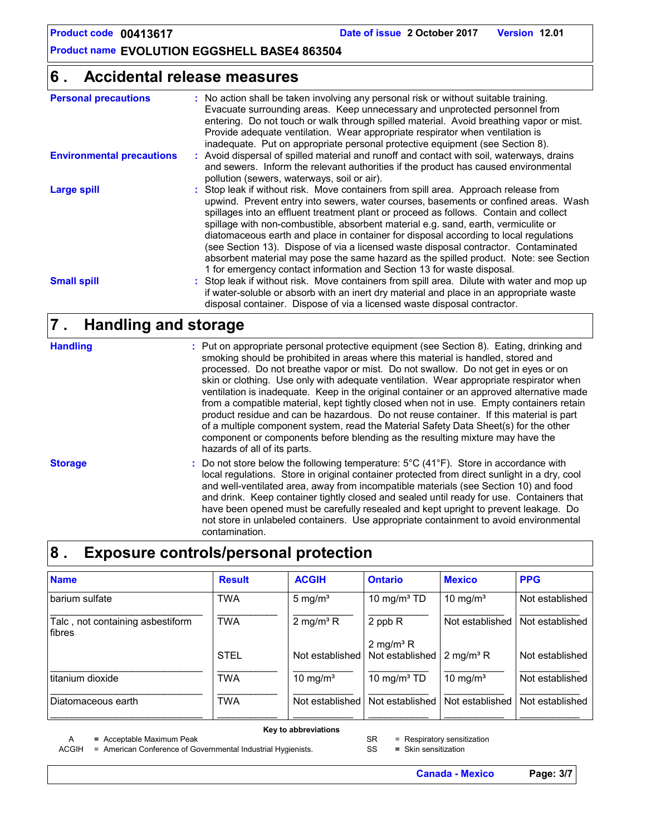### **Accidental release measures 6 .**

| <b>Personal precautions</b>      | : No action shall be taken involving any personal risk or without suitable training.<br>Evacuate surrounding areas. Keep unnecessary and unprotected personnel from<br>entering. Do not touch or walk through spilled material. Avoid breathing vapor or mist.<br>Provide adequate ventilation. Wear appropriate respirator when ventilation is<br>inadequate. Put on appropriate personal protective equipment (see Section 8).                                                                                                                                                                                                                                                                             |
|----------------------------------|--------------------------------------------------------------------------------------------------------------------------------------------------------------------------------------------------------------------------------------------------------------------------------------------------------------------------------------------------------------------------------------------------------------------------------------------------------------------------------------------------------------------------------------------------------------------------------------------------------------------------------------------------------------------------------------------------------------|
| <b>Environmental precautions</b> | : Avoid dispersal of spilled material and runoff and contact with soil, waterways, drains<br>and sewers. Inform the relevant authorities if the product has caused environmental<br>pollution (sewers, waterways, soil or air).                                                                                                                                                                                                                                                                                                                                                                                                                                                                              |
| <b>Large spill</b>               | : Stop leak if without risk. Move containers from spill area. Approach release from<br>upwind. Prevent entry into sewers, water courses, basements or confined areas. Wash<br>spillages into an effluent treatment plant or proceed as follows. Contain and collect<br>spillage with non-combustible, absorbent material e.g. sand, earth, vermiculite or<br>diatomaceous earth and place in container for disposal according to local regulations<br>(see Section 13). Dispose of via a licensed waste disposal contractor. Contaminated<br>absorbent material may pose the same hazard as the spilled product. Note: see Section<br>1 for emergency contact information and Section 13 for waste disposal. |
| <b>Small spill</b>               | : Stop leak if without risk. Move containers from spill area. Dilute with water and mop up<br>if water-soluble or absorb with an inert dry material and place in an appropriate waste<br>disposal container. Dispose of via a licensed waste disposal contractor.                                                                                                                                                                                                                                                                                                                                                                                                                                            |

### **Handling and storage 7 .**

| <b>Handling</b> | : Put on appropriate personal protective equipment (see Section 8). Eating, drinking and<br>smoking should be prohibited in areas where this material is handled, stored and<br>processed. Do not breathe vapor or mist. Do not swallow. Do not get in eyes or on<br>skin or clothing. Use only with adequate ventilation. Wear appropriate respirator when<br>ventilation is inadequate. Keep in the original container or an approved alternative made<br>from a compatible material, kept tightly closed when not in use. Empty containers retain<br>product residue and can be hazardous. Do not reuse container. If this material is part<br>of a multiple component system, read the Material Safety Data Sheet(s) for the other<br>component or components before blending as the resulting mixture may have the<br>hazards of all of its parts. |
|-----------------|---------------------------------------------------------------------------------------------------------------------------------------------------------------------------------------------------------------------------------------------------------------------------------------------------------------------------------------------------------------------------------------------------------------------------------------------------------------------------------------------------------------------------------------------------------------------------------------------------------------------------------------------------------------------------------------------------------------------------------------------------------------------------------------------------------------------------------------------------------|
| <b>Storage</b>  | : Do not store below the following temperature: $5^{\circ}C(41^{\circ}F)$ . Store in accordance with<br>local regulations. Store in original container protected from direct sunlight in a dry, cool<br>and well-ventilated area, away from incompatible materials (see Section 10) and food<br>and drink. Keep container tightly closed and sealed until ready for use. Containers that<br>have been opened must be carefully resealed and kept upright to prevent leakage. Do<br>not store in unlabeled containers. Use appropriate containment to avoid environmental<br>contamination.                                                                                                                                                                                                                                                              |

### **8 . Exposure controls/personal protection**

| <b>Name</b>                                | <b>Result</b> | <b>ACGIH</b>          | <b>Ontario</b>                                           | <b>Mexico</b>         | <b>PPG</b>      |
|--------------------------------------------|---------------|-----------------------|----------------------------------------------------------|-----------------------|-----------------|
| barium sulfate                             | <b>TWA</b>    | 5 mg/ $m3$            | 10 mg/m <sup>3</sup> $TD$                                | 10 mg/ $m3$           | Not established |
| Talc, not containing asbestiform<br>fibres | <b>TWA</b>    | 2 mg/m <sup>3</sup> R | 2 ppb R                                                  | Not established       | Not established |
|                                            | <b>STEL</b>   |                       | 2 mg/m <sup>3</sup> R<br>Not established Not established | 2 mg/m <sup>3</sup> R | Not established |
| titanium dioxide                           | <b>TWA</b>    | 10 mg/ $m3$           | 10 mg/m $3$ TD                                           | 10 mg/ $m3$           | Not established |
| Diatomaceous earth                         | <b>TWA</b>    | Not established       | Not established                                          | Not established       | Not established |

**Key to abbreviations**

A **=** Acceptable Maximum Peak ACGIH = American Conference of Governmental Industrial Hygienists. SR = Respiratory sensitization

SS **=** Skin sensitization

**Canada - Mexico Page: 3/7**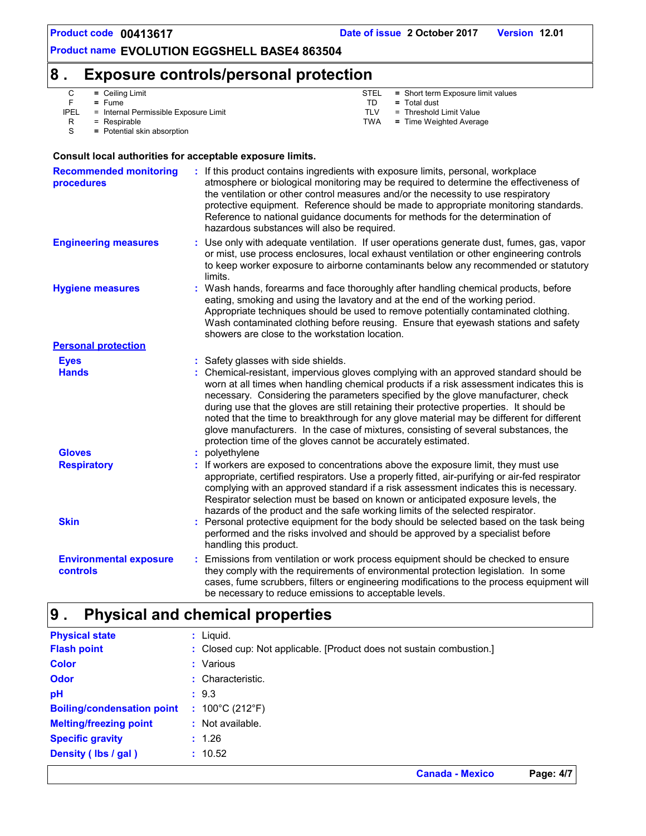### **8 . Exposure controls/personal protection**

C **=** Ceiling Limit

F **=** Fume

PEL = Internal Permissible Exposure Limit<br>R = Respirable = Respirable

- STEL **=** Short term Exposure limit values
- TD **=** Total dust
	- $=$  Threshold Limit Value
- TWA **=** Time Weighted Average

S = Potential skin absorption

#### **Consult local authorities for acceptable exposure limits.**

| <b>Recommended monitoring</b><br><b>procedures</b> | If this product contains ingredients with exposure limits, personal, workplace<br>atmosphere or biological monitoring may be required to determine the effectiveness of<br>the ventilation or other control measures and/or the necessity to use respiratory<br>protective equipment. Reference should be made to appropriate monitoring standards.<br>Reference to national guidance documents for methods for the determination of<br>hazardous substances will also be required.                                                                                                                                    |
|----------------------------------------------------|------------------------------------------------------------------------------------------------------------------------------------------------------------------------------------------------------------------------------------------------------------------------------------------------------------------------------------------------------------------------------------------------------------------------------------------------------------------------------------------------------------------------------------------------------------------------------------------------------------------------|
| <b>Engineering measures</b>                        | Use only with adequate ventilation. If user operations generate dust, fumes, gas, vapor<br>or mist, use process enclosures, local exhaust ventilation or other engineering controls<br>to keep worker exposure to airborne contaminants below any recommended or statutory<br>limits.                                                                                                                                                                                                                                                                                                                                  |
| <b>Hygiene measures</b>                            | Wash hands, forearms and face thoroughly after handling chemical products, before<br>eating, smoking and using the lavatory and at the end of the working period.<br>Appropriate techniques should be used to remove potentially contaminated clothing.<br>Wash contaminated clothing before reusing. Ensure that eyewash stations and safety<br>showers are close to the workstation location.                                                                                                                                                                                                                        |
| <b>Personal protection</b>                         |                                                                                                                                                                                                                                                                                                                                                                                                                                                                                                                                                                                                                        |
| <b>Eyes</b>                                        | : Safety glasses with side shields.                                                                                                                                                                                                                                                                                                                                                                                                                                                                                                                                                                                    |
| <b>Hands</b>                                       | : Chemical-resistant, impervious gloves complying with an approved standard should be<br>worn at all times when handling chemical products if a risk assessment indicates this is<br>necessary. Considering the parameters specified by the glove manufacturer, check<br>during use that the gloves are still retaining their protective properties. It should be<br>noted that the time to breakthrough for any glove material may be different for different<br>glove manufacturers. In the case of mixtures, consisting of several substances, the<br>protection time of the gloves cannot be accurately estimated. |
| <b>Gloves</b>                                      | : polyethylene                                                                                                                                                                                                                                                                                                                                                                                                                                                                                                                                                                                                         |
| <b>Respiratory</b>                                 | If workers are exposed to concentrations above the exposure limit, they must use<br>appropriate, certified respirators. Use a properly fitted, air-purifying or air-fed respirator<br>complying with an approved standard if a risk assessment indicates this is necessary.<br>Respirator selection must be based on known or anticipated exposure levels, the<br>hazards of the product and the safe working limits of the selected respirator.                                                                                                                                                                       |
| <b>Skin</b>                                        | Personal protective equipment for the body should be selected based on the task being<br>performed and the risks involved and should be approved by a specialist before<br>handling this product.                                                                                                                                                                                                                                                                                                                                                                                                                      |
| <b>Environmental exposure</b><br>controls          | Emissions from ventilation or work process equipment should be checked to ensure<br>they comply with the requirements of environmental protection legislation. In some<br>cases, fume scrubbers, filters or engineering modifications to the process equipment will<br>be necessary to reduce emissions to acceptable levels.                                                                                                                                                                                                                                                                                          |

#### **Physical and chemical properties 9 .**

| <b>Physical state</b>             |     | $:$ Liquid.                                                          |
|-----------------------------------|-----|----------------------------------------------------------------------|
| <b>Flash point</b>                |     | : Closed cup: Not applicable. [Product does not sustain combustion.] |
| <b>Color</b>                      |     | : Various                                                            |
| <b>Odor</b>                       |     | : Characteristic.                                                    |
| pH                                |     | : 9.3                                                                |
| <b>Boiling/condensation point</b> | -11 | 100°C (212°F)                                                        |
| <b>Melting/freezing point</b>     |     | : Not available.                                                     |
| <b>Specific gravity</b>           |     | : 1.26                                                               |
| Density (lbs / gal)               |     | : 10.52                                                              |
|                                   |     |                                                                      |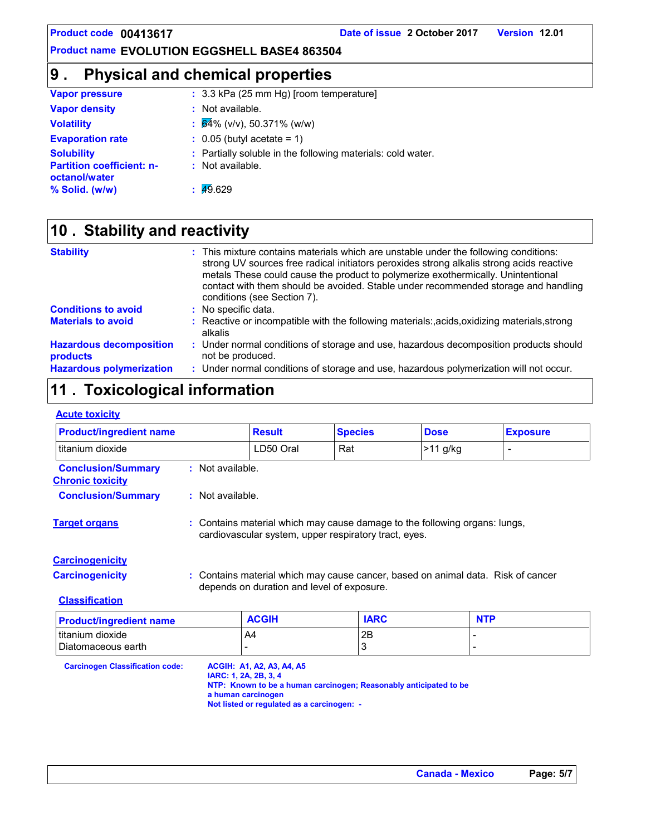### **9 . Physical and chemical properties**

| <b>Vapor pressure</b>                             | $\therefore$ 3.3 kPa (25 mm Hg) [room temperature]          |
|---------------------------------------------------|-------------------------------------------------------------|
| <b>Vapor density</b>                              | : Not available.                                            |
| <b>Volatility</b>                                 | $\frac{1}{2}$ 64% (v/v), 50.371% (w/w)                      |
| <b>Evaporation rate</b>                           | $\therefore$ 0.05 (butyl acetate = 1)                       |
| <b>Solubility</b>                                 | : Partially soluble in the following materials: cold water. |
| <b>Partition coefficient: n-</b><br>octanol/water | : Not available.                                            |
| % Solid. (w/w)                                    | $\frac{1}{49.629}$                                          |

### **Stability and reactivity 10 .**

| <b>Stability</b>                           | : This mixture contains materials which are unstable under the following conditions:<br>strong UV sources free radical initiators peroxides strong alkalis strong acids reactive<br>metals These could cause the product to polymerize exothermically. Unintentional<br>contact with them should be avoided. Stable under recommended storage and handling<br>conditions (see Section 7). |
|--------------------------------------------|-------------------------------------------------------------------------------------------------------------------------------------------------------------------------------------------------------------------------------------------------------------------------------------------------------------------------------------------------------------------------------------------|
| <b>Conditions to avoid</b>                 | : No specific data.                                                                                                                                                                                                                                                                                                                                                                       |
| <b>Materials to avoid</b>                  | : Reactive or incompatible with the following materials:, acids, oxidizing materials, strong<br>alkalis                                                                                                                                                                                                                                                                                   |
| <b>Hazardous decomposition</b><br>products | : Under normal conditions of storage and use, hazardous decomposition products should<br>not be produced.                                                                                                                                                                                                                                                                                 |
| <b>Hazardous polymerization</b>            | : Under normal conditions of storage and use, hazardous polymerization will not occur.                                                                                                                                                                                                                                                                                                    |

## **11 . Toxicological information**

#### **Acute toxicity**

| <b>Product/ingredient name</b>                       |                                                                                                                                     | <b>Result</b>                                                                  | <b>Species</b>                                                                   | <b>Dose</b>                                | <b>Exposure</b>          |
|------------------------------------------------------|-------------------------------------------------------------------------------------------------------------------------------------|--------------------------------------------------------------------------------|----------------------------------------------------------------------------------|--------------------------------------------|--------------------------|
| titanium dioxide                                     |                                                                                                                                     | LD50 Oral                                                                      | Rat                                                                              | $>11$ g/kg                                 | $\overline{\phantom{0}}$ |
| <b>Conclusion/Summary</b><br><b>Chronic toxicity</b> | : Not available.                                                                                                                    |                                                                                |                                                                                  |                                            |                          |
| <b>Conclusion/Summary</b>                            | : Not available.                                                                                                                    |                                                                                |                                                                                  |                                            |                          |
| <b>Target organs</b>                                 | : Contains material which may cause damage to the following organs: lungs,<br>cardiovascular system, upper respiratory tract, eyes. |                                                                                |                                                                                  |                                            |                          |
| <b>Carcinogenicity</b>                               |                                                                                                                                     |                                                                                |                                                                                  |                                            |                          |
| <b>Carcinogenicity</b>                               |                                                                                                                                     | depends on duration and level of exposure.                                     | : Contains material which may cause cancer, based on animal data. Risk of cancer |                                            |                          |
| <b>Classification</b>                                |                                                                                                                                     |                                                                                |                                                                                  |                                            |                          |
| <b>Product/ingredient name</b>                       |                                                                                                                                     | <b>ACGIH</b>                                                                   | <b>IARC</b>                                                                      | <b>NTP</b>                                 |                          |
| titanium dioxide<br>Diatomaceous earth               |                                                                                                                                     | A4                                                                             | 2B<br>3                                                                          | $\overline{a}$<br>$\overline{\phantom{a}}$ |                          |
| <b>Carcinogen Classification code:</b>               | IARC: 1, 2A, 2B, 3, 4<br>a human carcinogen                                                                                         | <b>ACGIH: A1, A2, A3, A4, A5</b><br>Not listed or regulated as a carcinogen: - | NTP: Known to be a human carcinogen; Reasonably anticipated to be                |                                            |                          |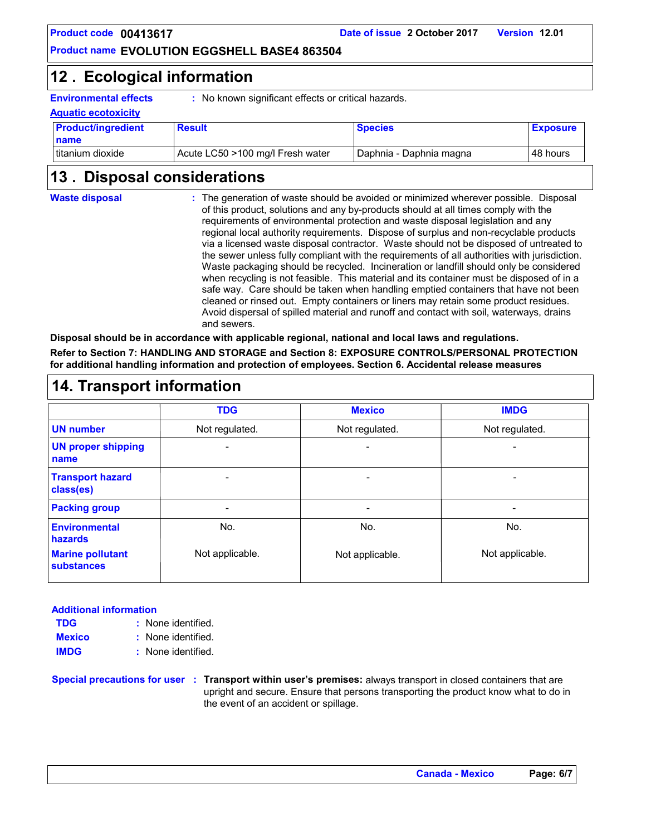**Product code 00413617 Date of issue 2 October 2017 Version 12.01**

#### **Product name EVOLUTION EGGSHELL BASE4 863504**

### **Ecological information 12 .**

**Environmental effects :** No known significant effects or critical hazards.

| <b>Aquatic ecotoxicity</b> |                                  |                           |                 |  |
|----------------------------|----------------------------------|---------------------------|-----------------|--|
| <b>Product/ingredient</b>  | <b>Result</b>                    | <b>Species</b>            | <b>Exposure</b> |  |
| name                       |                                  |                           |                 |  |
| I titanium dioxide         | Acute LC50 >100 mg/l Fresh water | l Daphnia - Daphnia magna | 48 hours        |  |

### **Disposal considerations 13 .**

The generation of waste should be avoided or minimized wherever possible. Disposal **:** of this product, solutions and any by-products should at all times comply with the requirements of environmental protection and waste disposal legislation and any regional local authority requirements. Dispose of surplus and non-recyclable products via a licensed waste disposal contractor. Waste should not be disposed of untreated to the sewer unless fully compliant with the requirements of all authorities with jurisdiction. Waste packaging should be recycled. Incineration or landfill should only be considered when recycling is not feasible. This material and its container must be disposed of in a safe way. Care should be taken when handling emptied containers that have not been cleaned or rinsed out. Empty containers or liners may retain some product residues. Avoid dispersal of spilled material and runoff and contact with soil, waterways, drains and sewers. **Waste disposal**

**Disposal should be in accordance with applicable regional, national and local laws and regulations. Refer to Section 7: HANDLING AND STORAGE and Section 8: EXPOSURE CONTROLS/PERSONAL PROTECTION for additional handling information and protection of employees. Section 6. Accidental release measures**

| 14. Transport information                    |                 |                 |                 |
|----------------------------------------------|-----------------|-----------------|-----------------|
|                                              | <b>TDG</b>      | <b>Mexico</b>   | <b>IMDG</b>     |
| <b>UN number</b>                             | Not regulated.  | Not regulated.  | Not regulated.  |
| <b>UN proper shipping</b><br>name            |                 | ۰               |                 |
| <b>Transport hazard</b><br>class(es)         |                 |                 |                 |
| <b>Packing group</b>                         |                 |                 |                 |
| <b>Environmental</b><br>hazards              | No.             | No.             | No.             |
| <b>Marine pollutant</b><br><b>substances</b> | Not applicable. | Not applicable. | Not applicable. |

#### **Additional information**

| <b>TDG</b>    | : None identified. |  |
|---------------|--------------------|--|
| <b>Mexico</b> | : None identified. |  |
| <b>IMDG</b>   | : None identified. |  |

**Special precautions for user Transport within user's premises:** always transport in closed containers that are **:** upright and secure. Ensure that persons transporting the product know what to do in the event of an accident or spillage.